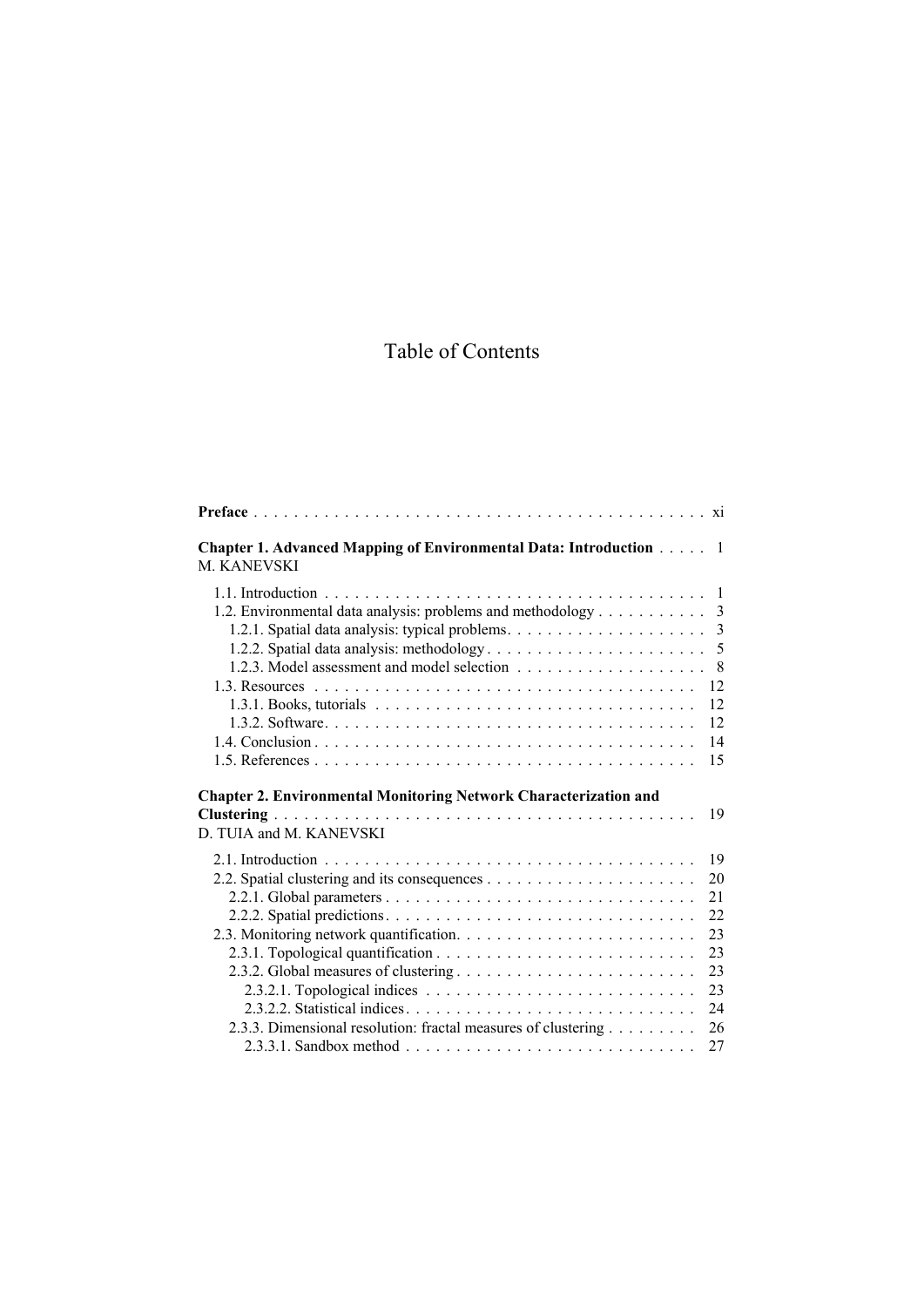## Table of Contents

| <b>Chapter 1. Advanced Mapping of Environmental Data: Introduction </b><br><b>M KANEVSKI</b>       | $\blacksquare$ |
|----------------------------------------------------------------------------------------------------|----------------|
| 1.2. Environmental data analysis: problems and methodology 3                                       | 3              |
|                                                                                                    | - 8            |
|                                                                                                    | 12             |
|                                                                                                    | 12             |
|                                                                                                    | 12             |
|                                                                                                    | 14             |
|                                                                                                    | 15             |
| <b>Chapter 2. Environmental Monitoring Network Characterization and</b><br>D. TUIA and M. KANEVSKI | 19             |
|                                                                                                    | 19             |
|                                                                                                    | 20             |
|                                                                                                    | 21             |
|                                                                                                    | 22             |
|                                                                                                    | 23             |
|                                                                                                    | 23             |
|                                                                                                    | 23             |
|                                                                                                    | 23             |
|                                                                                                    | 24             |
| 2.3.3. Dimensional resolution: fractal measures of clustering                                      | 26             |
|                                                                                                    | 27             |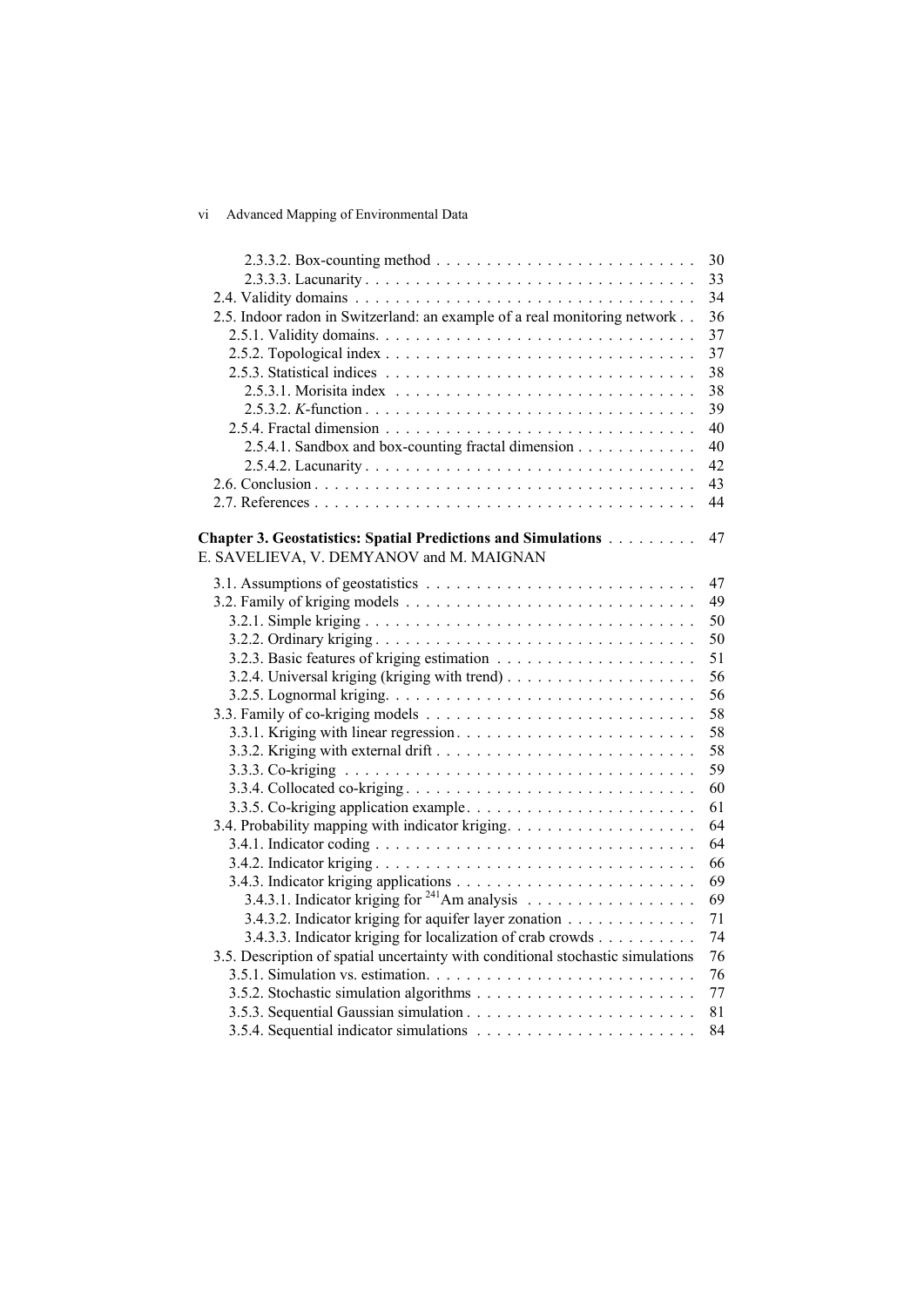## vi Advanced Mapping of Environmental Data

|                                                                                 | 30 |
|---------------------------------------------------------------------------------|----|
|                                                                                 | 33 |
|                                                                                 | 34 |
| 2.5. Indoor radon in Switzerland: an example of a real monitoring network       | 36 |
|                                                                                 | 37 |
|                                                                                 | 37 |
|                                                                                 | 38 |
|                                                                                 | 38 |
|                                                                                 | 39 |
|                                                                                 | 40 |
| 2.5.4.1. Sandbox and box-counting fractal dimension                             | 40 |
|                                                                                 | 42 |
|                                                                                 | 43 |
|                                                                                 | 44 |
|                                                                                 |    |
| Chapter 3. Geostatistics: Spatial Predictions and Simulations                   | 47 |
| E. SAVELIEVA, V. DEMYANOV and M. MAIGNAN                                        |    |
|                                                                                 | 47 |
|                                                                                 | 49 |
|                                                                                 | 50 |
|                                                                                 | 50 |
|                                                                                 | 51 |
|                                                                                 | 56 |
|                                                                                 | 56 |
|                                                                                 | 58 |
|                                                                                 | 58 |
|                                                                                 | 58 |
|                                                                                 | 59 |
|                                                                                 | 60 |
|                                                                                 | 61 |
|                                                                                 | 64 |
|                                                                                 | 64 |
|                                                                                 | 66 |
|                                                                                 | 69 |
|                                                                                 | 69 |
| 3.4.3.2. Indicator kriging for aquifer layer zonation                           | 71 |
| 3.4.3.3. Indicator kriging for localization of crab crowds                      | 74 |
| 3.5. Description of spatial uncertainty with conditional stochastic simulations | 76 |
|                                                                                 | 76 |
|                                                                                 | 77 |
|                                                                                 | 81 |
|                                                                                 | 84 |
|                                                                                 |    |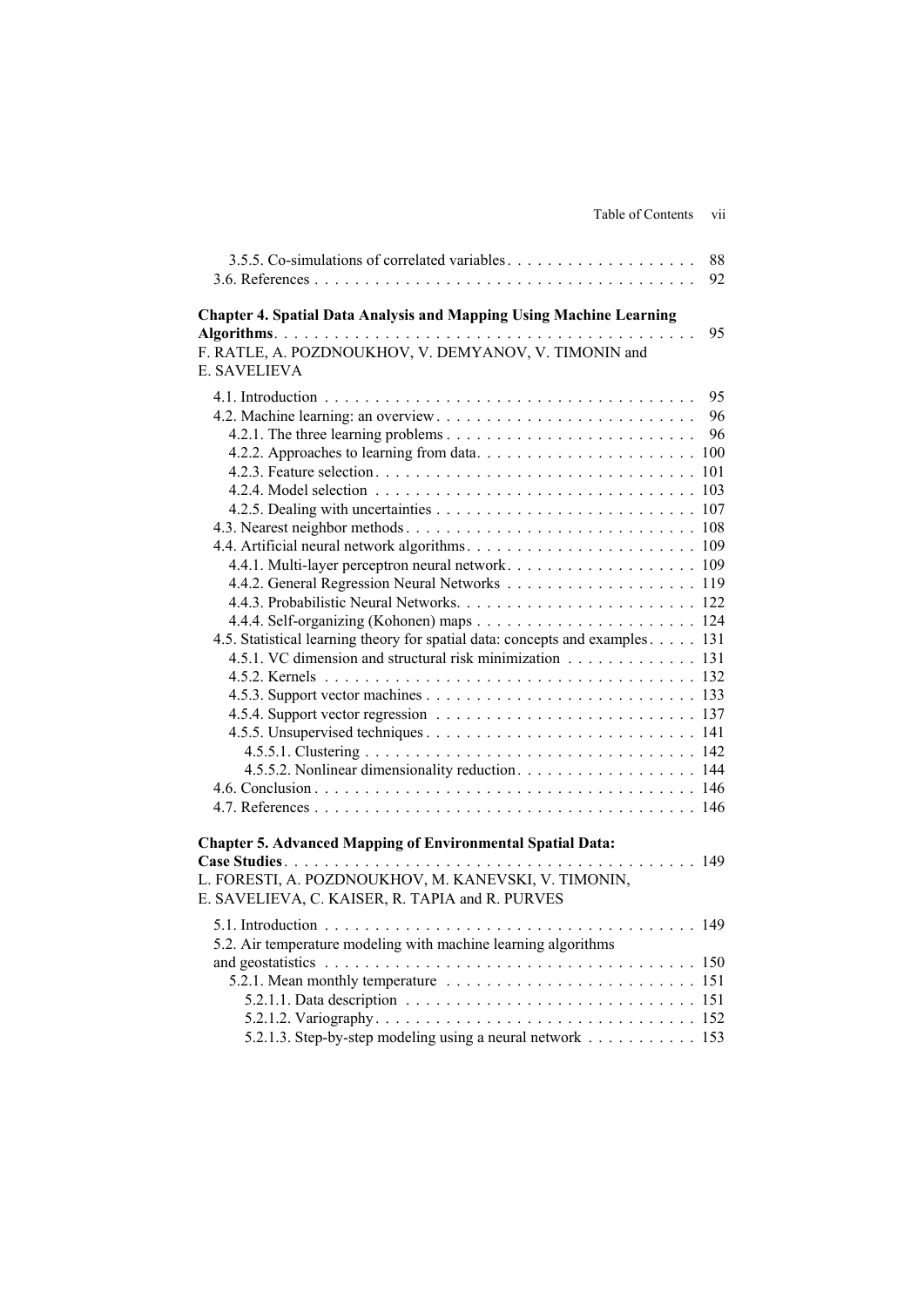| Table of Contents | V11 |
|-------------------|-----|
|                   |     |

| 3.5.5. Co-simulations of correlated variables                                                                                                       | 88<br>92 |
|-----------------------------------------------------------------------------------------------------------------------------------------------------|----------|
| <b>Chapter 4. Spatial Data Analysis and Mapping Using Machine Learning</b><br>F. RATLE, A. POZDNOUKHOV, V. DEMYANOV, V. TIMONIN and<br>E. SAVELIEVA | 95       |
|                                                                                                                                                     | 95       |
|                                                                                                                                                     | 96       |
|                                                                                                                                                     | 96       |
|                                                                                                                                                     |          |
|                                                                                                                                                     |          |
|                                                                                                                                                     |          |
|                                                                                                                                                     |          |
|                                                                                                                                                     |          |
|                                                                                                                                                     |          |
|                                                                                                                                                     |          |
|                                                                                                                                                     |          |
|                                                                                                                                                     |          |
|                                                                                                                                                     |          |
| 4.5. Statistical learning theory for spatial data: concepts and examples 131                                                                        |          |
| 4.5.1. VC dimension and structural risk minimization 131                                                                                            |          |
|                                                                                                                                                     |          |
|                                                                                                                                                     |          |
|                                                                                                                                                     |          |
|                                                                                                                                                     |          |
|                                                                                                                                                     |          |
| 4.5.5.2. Nonlinear dimensionality reduction. 144                                                                                                    |          |
|                                                                                                                                                     |          |
|                                                                                                                                                     |          |
| <b>Chapter 5. Advanced Mapping of Environmental Spatial Data:</b>                                                                                   |          |
|                                                                                                                                                     | 149      |
| L. FORESTI, A. POZDNOUKHOV, M. KANEVSKI, V. TIMONIN,                                                                                                |          |
| E. SAVELIEVA, C. KAISER, R. TAPIA and R. PURVES                                                                                                     |          |
|                                                                                                                                                     |          |
| 5.2. Air temperature modeling with machine learning algorithms                                                                                      |          |
|                                                                                                                                                     |          |
|                                                                                                                                                     |          |
|                                                                                                                                                     |          |
|                                                                                                                                                     |          |
| 5.2.1.3. Step-by-step modeling using a neural network 153                                                                                           |          |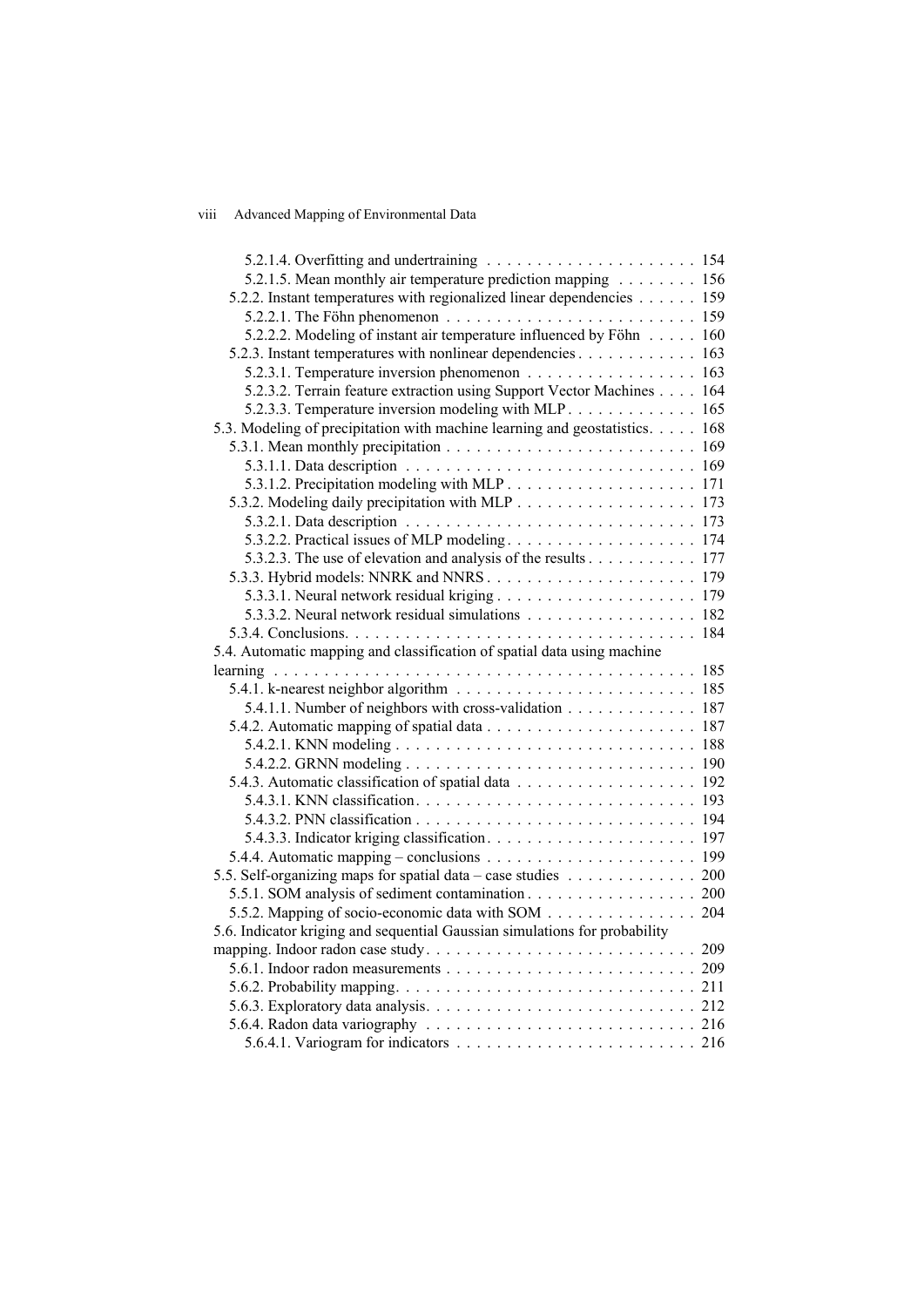## viii Advanced Mapping of Environmental Data

| 5.2.1.5. Mean monthly air temperature prediction mapping 156                |  |
|-----------------------------------------------------------------------------|--|
| 5.2.2. Instant temperatures with regionalized linear dependencies 159       |  |
|                                                                             |  |
| 5.2.2.2. Modeling of instant air temperature influenced by Föhn 160         |  |
| 5.2.3. Instant temperatures with nonlinear dependencies 163                 |  |
|                                                                             |  |
| 5.2.3.2. Terrain feature extraction using Support Vector Machines 164       |  |
| 5.2.3.3. Temperature inversion modeling with MLP 165                        |  |
| 5.3. Modeling of precipitation with machine learning and geostatistics. 168 |  |
|                                                                             |  |
|                                                                             |  |
|                                                                             |  |
| 5.3.2. Modeling daily precipitation with MLP 173                            |  |
|                                                                             |  |
|                                                                             |  |
| 5.3.2.3. The use of elevation and analysis of the results 177               |  |
|                                                                             |  |
|                                                                             |  |
| 5.3.3.2. Neural network residual simulations 182                            |  |
|                                                                             |  |
| 5.4. Automatic mapping and classification of spatial data using machine     |  |
|                                                                             |  |
|                                                                             |  |
| 5.4.1.1. Number of neighbors with cross-validation 187                      |  |
|                                                                             |  |
|                                                                             |  |
|                                                                             |  |
|                                                                             |  |
|                                                                             |  |
|                                                                             |  |
|                                                                             |  |
|                                                                             |  |
|                                                                             |  |
| 5.5. Self-organizing maps for spatial data – case studies 200               |  |
| 5.5.1. SOM analysis of sediment contamination 200                           |  |
| 5.5.2. Mapping of socio-economic data with SOM 204                          |  |
| 5.6. Indicator kriging and sequential Gaussian simulations for probability  |  |
|                                                                             |  |
|                                                                             |  |
|                                                                             |  |
|                                                                             |  |
|                                                                             |  |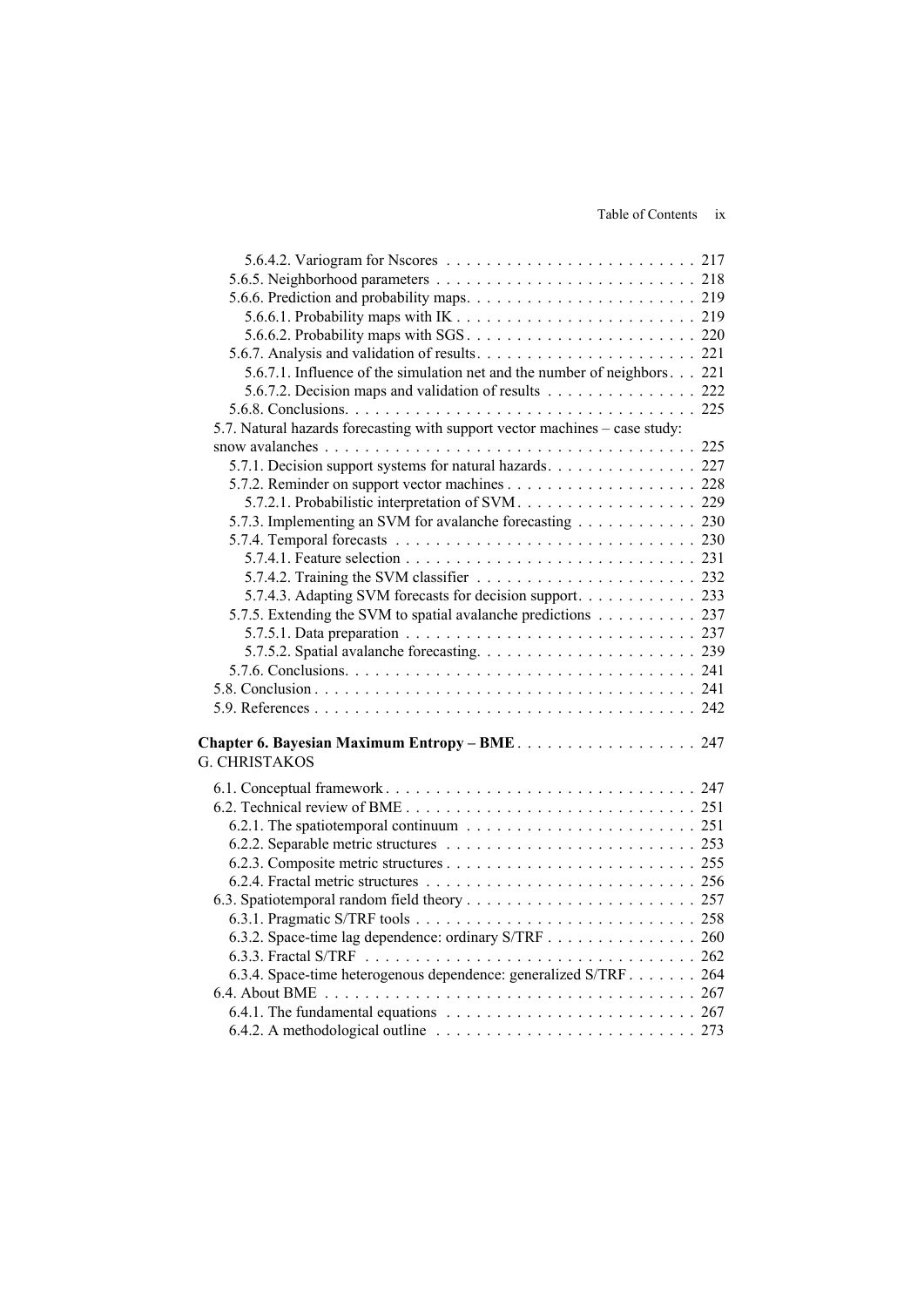| 5.6.7.1. Influence of the simulation net and the number of neighbors 221                              |  |
|-------------------------------------------------------------------------------------------------------|--|
| 5.6.7.2. Decision maps and validation of results 222                                                  |  |
|                                                                                                       |  |
| 5.7. Natural hazards forecasting with support vector machines – case study:                           |  |
|                                                                                                       |  |
| 5.7.1. Decision support systems for natural hazards. 227                                              |  |
|                                                                                                       |  |
|                                                                                                       |  |
| 5.7.3. Implementing an SVM for avalanche forecasting 230                                              |  |
|                                                                                                       |  |
|                                                                                                       |  |
|                                                                                                       |  |
| 5.7.4.3. Adapting SVM forecasts for decision support. 233                                             |  |
| 5.7.5. Extending the SVM to spatial avalanche predictions 237                                         |  |
|                                                                                                       |  |
|                                                                                                       |  |
|                                                                                                       |  |
|                                                                                                       |  |
|                                                                                                       |  |
|                                                                                                       |  |
| Chapter 6. Bayesian Maximum Entropy - BME 247                                                         |  |
| <b>G. CHRISTAKOS</b>                                                                                  |  |
|                                                                                                       |  |
|                                                                                                       |  |
|                                                                                                       |  |
|                                                                                                       |  |
|                                                                                                       |  |
|                                                                                                       |  |
|                                                                                                       |  |
|                                                                                                       |  |
|                                                                                                       |  |
| 6.3.2. Space-time lag dependence: ordinary S/TRF 260                                                  |  |
|                                                                                                       |  |
| 6.3.4. Space-time heterogenous dependence: generalized S/TRF 264                                      |  |
|                                                                                                       |  |
| 6.4.1. The fundamental equations $\ldots \ldots \ldots \ldots \ldots \ldots \ldots \ldots \ldots 267$ |  |
| 6.4.2. A methodological outline $\ldots \ldots \ldots \ldots \ldots \ldots \ldots \ldots \ldots 273$  |  |